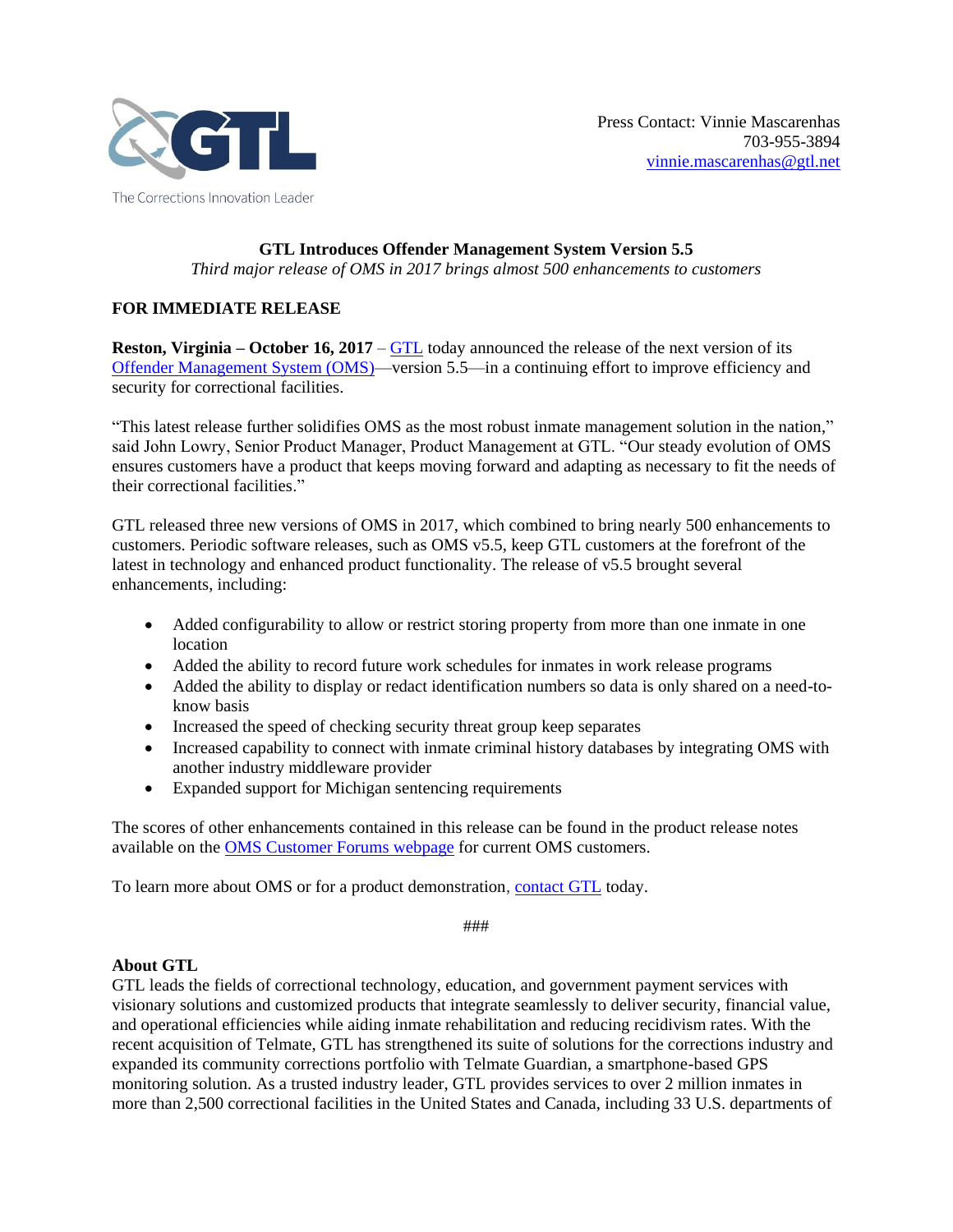

## **GTL Introduces Offender Management System Version 5.5**

*Third major release of OMS in 2017 brings almost 500 enhancements to customers*

## **FOR IMMEDIATE RELEASE**

**Reston, Virginia – October 16, 2017** – [GTL](http://www.gtl.net/) today announced the release of the next version of its [Offender Management System \(OMS\)—](http://www.gtl.net/correctional-facility-services/enterprise-management-solutions/offender-management-system/)version 5.5—in a continuing effort to improve efficiency and security for correctional facilities.

"This latest release further solidifies OMS as the most robust inmate management solution in the nation," said John Lowry, Senior Product Manager, Product Management at GTL. "Our steady evolution of OMS ensures customers have a product that keeps moving forward and adapting as necessary to fit the needs of their correctional facilities."

GTL released three new versions of OMS in 2017, which combined to bring nearly 500 enhancements to customers. Periodic software releases, such as OMS v5.5, keep GTL customers at the forefront of the latest in technology and enhanced product functionality. The release of v5.5 brought several enhancements, including:

- Added configurability to allow or restrict storing property from more than one inmate in one location
- Added the ability to record future work schedules for inmates in work release programs
- Added the ability to display or redact identification numbers so data is only shared on a need-toknow basis
- Increased the speed of checking security threat group keep separates
- Increased capability to connect with inmate criminal history databases by integrating OMS with another industry middleware provider
- Expanded support for Michigan sentencing requirements

The scores of other enhancements contained in this release can be found in the product release notes available on the [OMS Customer Forums webpage](http://www.gtlconnect.com/gtlclientforums/) for current OMS customers.

To learn more about OMS or for a product demonstration[, contact GTL](http://info.gtl.net/sales_contact_form) today.

###

## **About GTL**

GTL leads the fields of correctional technology, education, and government payment services with visionary solutions and customized products that integrate seamlessly to deliver security, financial value, and operational efficiencies while aiding inmate rehabilitation and reducing recidivism rates. With the recent acquisition of Telmate, GTL has strengthened its suite of solutions for the corrections industry and expanded its community corrections portfolio with Telmate Guardian, a smartphone-based GPS monitoring solution. As a trusted industry leader, GTL provides services to over 2 million inmates in more than 2,500 correctional facilities in the United States and Canada, including 33 U.S. departments of